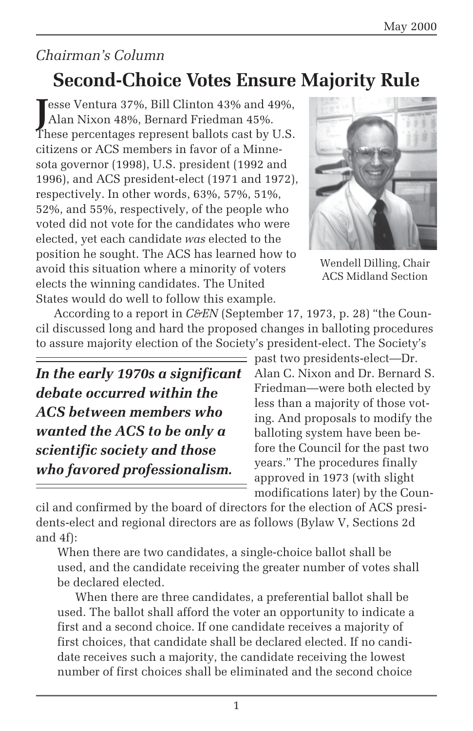## *Chairman's Column*

## **Second-Choice Votes Ensure Majority Rule**

Esse Ventura 37%, Bill Clinton 43% and 49%,<br>Alan Nixon 48%, Bernard Friedman 45%. Alan Nixon 48%, Bernard Friedman 45%. These percentages represent ballots cast by U.S. citizens or ACS members in favor of a Minnesota governor (1998), U.S. president (1992 and 1996), and ACS president-elect (1971 and 1972), respectively. In other words, 63%, 57%, 51%, 52%, and 55%, respectively, of the people who voted did not vote for the candidates who were elected, yet each candidate *was* elected to the position he sought. The ACS has learned how to avoid this situation where a minority of voters elects the winning candidates. The United States would do well to follow this example.



Wendell Dilling, Chair ACS Midland Section

According to a report in *C&EN* (September 17, 1973, p. 28) "the Council discussed long and hard the proposed changes in balloting procedures to assure majority election of the Society's president-elect. The Society's

*In the early 1970s a significant debate occurred within the ACS between members who wanted the ACS to be only a scientific society and those who favored professionalism.*

past two presidents-elect—Dr. Alan C. Nixon and Dr. Bernard S. Friedman—were both elected by less than a majority of those voting. And proposals to modify the balloting system have been before the Council for the past two years." The procedures finally approved in 1973 (with slight modifications later) by the Coun-

cil and confirmed by the board of directors for the election of ACS presidents-elect and regional directors are as follows (Bylaw V, Sections 2d and 4f):

When there are two candidates, a single-choice ballot shall be used, and the candidate receiving the greater number of votes shall be declared elected.

When there are three candidates, a preferential ballot shall be used. The ballot shall afford the voter an opportunity to indicate a first and a second choice. If one candidate receives a majority of first choices, that candidate shall be declared elected. If no candidate receives such a majority, the candidate receiving the lowest number of first choices shall be eliminated and the second choice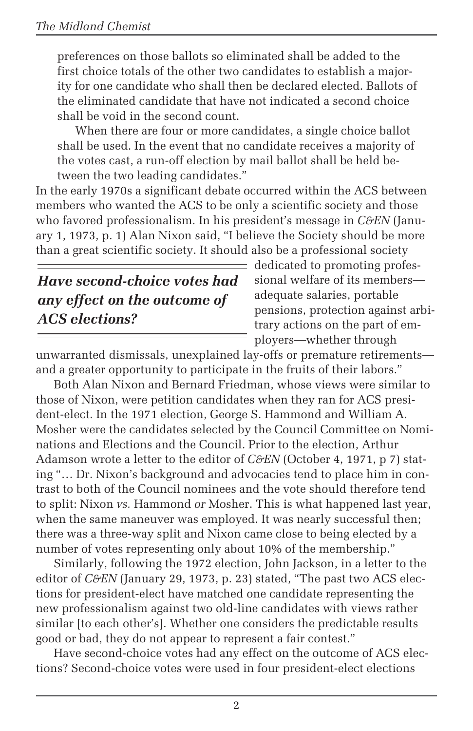preferences on those ballots so eliminated shall be added to the first choice totals of the other two candidates to establish a majority for one candidate who shall then be declared elected. Ballots of the eliminated candidate that have not indicated a second choice shall be void in the second count.

When there are four or more candidates, a single choice ballot shall be used. In the event that no candidate receives a majority of the votes cast, a run-off election by mail ballot shall be held between the two leading candidates."

In the early 1970s a significant debate occurred within the ACS between members who wanted the ACS to be only a scientific society and those who favored professionalism. In his president's message in *C&EN* (January 1, 1973, p. 1) Alan Nixon said, "I believe the Society should be more than a great scientific society. It should also be a professional society

## *Have second-choice votes had any effect on the outcome of ACS elections?*

dedicated to promoting professional welfare of its members adequate salaries, portable pensions, protection against arbitrary actions on the part of employers—whether through

unwarranted dismissals, unexplained lay-offs or premature retirements and a greater opportunity to participate in the fruits of their labors."

Both Alan Nixon and Bernard Friedman, whose views were similar to those of Nixon, were petition candidates when they ran for ACS president-elect. In the 1971 election, George S. Hammond and William A. Mosher were the candidates selected by the Council Committee on Nominations and Elections and the Council. Prior to the election, Arthur Adamson wrote a letter to the editor of *C&EN* (October 4, 1971, p 7) stating "… Dr. Nixon's background and advocacies tend to place him in contrast to both of the Council nominees and the vote should therefore tend to split: Nixon *vs.* Hammond *or* Mosher. This is what happened last year, when the same maneuver was employed. It was nearly successful then; there was a three-way split and Nixon came close to being elected by a number of votes representing only about 10% of the membership."

Similarly, following the 1972 election, John Jackson, in a letter to the editor of *C&EN* (January 29, 1973, p. 23) stated, "The past two ACS elections for president-elect have matched one candidate representing the new professionalism against two old-line candidates with views rather similar [to each other's]. Whether one considers the predictable results good or bad, they do not appear to represent a fair contest."

Have second-choice votes had any effect on the outcome of ACS elections? Second-choice votes were used in four president-elect elections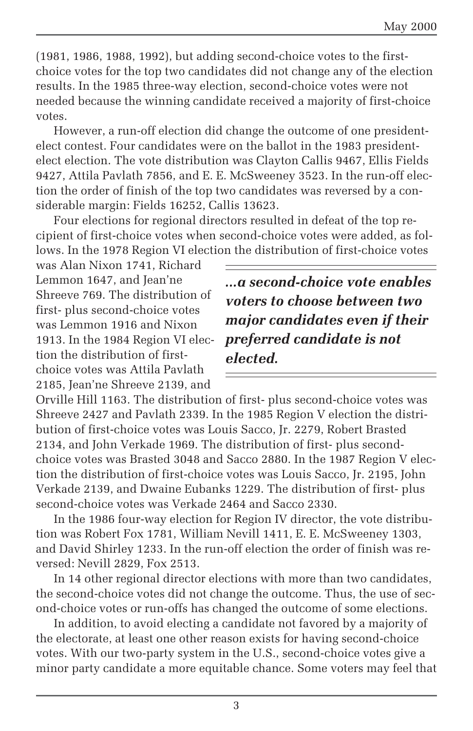(1981, 1986, 1988, 1992), but adding second-choice votes to the firstchoice votes for the top two candidates did not change any of the election results. In the 1985 three-way election, second-choice votes were not needed because the winning candidate received a majority of first-choice votes.

However, a run-off election did change the outcome of one presidentelect contest. Four candidates were on the ballot in the 1983 presidentelect election. The vote distribution was Clayton Callis 9467, Ellis Fields 9427, Attila Pavlath 7856, and E. E. McSweeney 3523. In the run-off election the order of finish of the top two candidates was reversed by a considerable margin: Fields 16252, Callis 13623.

Four elections for regional directors resulted in defeat of the top recipient of first-choice votes when second-choice votes were added, as follows. In the 1978 Region VI election the distribution of first-choice votes

was Alan Nixon 1741, Richard Lemmon 1647, and Jean'ne Shreeve 769. The distribution of first- plus second-choice votes was Lemmon 1916 and Nixon 1913. In the 1984 Region VI election the distribution of firstchoice votes was Attila Pavlath 2185, Jean'ne Shreeve 2139, and

*...a second-choice vote enables voters to choose between two major candidates even if their preferred candidate is not elected.*

Orville Hill 1163. The distribution of first- plus second-choice votes was Shreeve 2427 and Pavlath 2339. In the 1985 Region V election the distribution of first-choice votes was Louis Sacco, Jr. 2279, Robert Brasted 2134, and John Verkade 1969. The distribution of first- plus secondchoice votes was Brasted 3048 and Sacco 2880. In the 1987 Region V election the distribution of first-choice votes was Louis Sacco, Jr. 2195, John Verkade 2139, and Dwaine Eubanks 1229. The distribution of first- plus second-choice votes was Verkade 2464 and Sacco 2330.

In the 1986 four-way election for Region IV director, the vote distribution was Robert Fox 1781, William Nevill 1411, E. E. McSweeney 1303, and David Shirley 1233. In the run-off election the order of finish was reversed: Nevill 2829, Fox 2513.

In 14 other regional director elections with more than two candidates, the second-choice votes did not change the outcome. Thus, the use of second-choice votes or run-offs has changed the outcome of some elections.

In addition, to avoid electing a candidate not favored by a majority of the electorate, at least one other reason exists for having second-choice votes. With our two-party system in the U.S., second-choice votes give a minor party candidate a more equitable chance. Some voters may feel that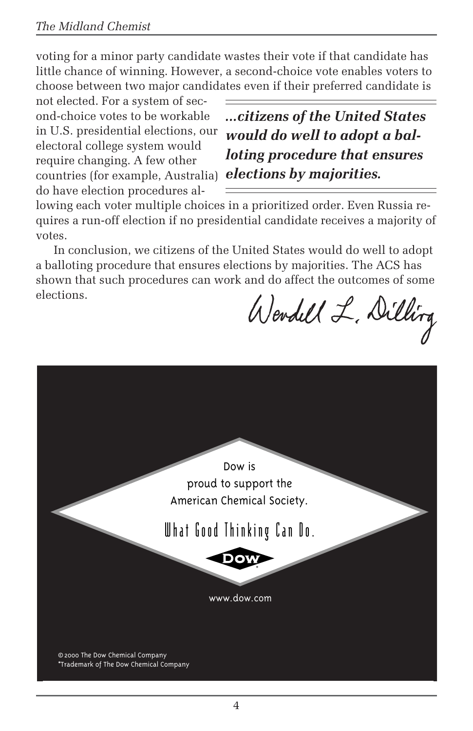voting for a minor party candidate wastes their vote if that candidate has little chance of winning. However, a second-choice vote enables voters to choose between two major candidates even if their preferred candidate is

not elected. For a system of second-choice votes to be workable in U.S. presidential elections, our electoral college system would require changing. A few other countries (for example, Australia) *elections by majorities.*do have election procedures al-

*...citizens of the United States would do well to adopt a balloting procedure that ensures*

lowing each voter multiple choices in a prioritized order. Even Russia requires a run-off election if no presidential candidate receives a majority of votes.

In conclusion, we citizens of the United States would do well to adopt a balloting procedure that ensures elections by majorities. The ACS has shown that such procedures can work and do affect the outcomes of some elections.

Wendell L. Dilling

Dow is proud to support the American Chemical Society.

What Good Thinking Can Do.



www.d0w.com

© 2000 The Dow Chemical Company \*Trademark of The Dow Chemical Company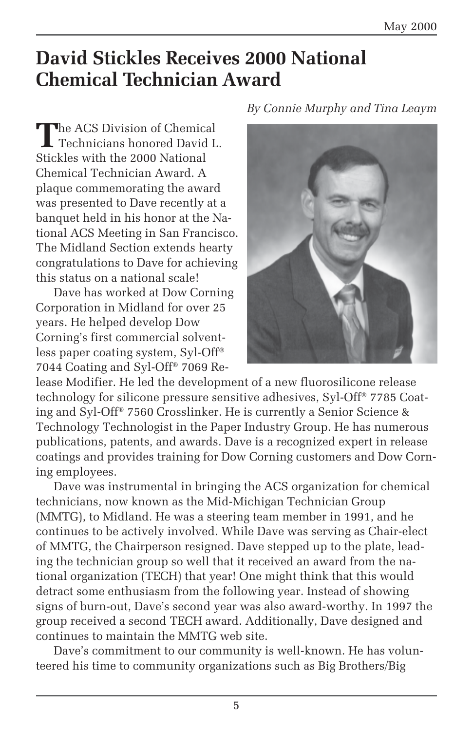## **David Stickles Receives 2000 National Chemical Technician Award**

The ACS Division of Chemical<br>Technicians honored David L. Stickles with the 2000 National Chemical Technician Award. A plaque commemorating the award was presented to Dave recently at a banquet held in his honor at the National ACS Meeting in San Francisco. The Midland Section extends hearty congratulations to Dave for achieving this status on a national scale!

Dave has worked at Dow Corning Corporation in Midland for over 25 years. He helped develop Dow Corning's first commercial solventless paper coating system, Syl-Off® 7044 Coating and Syl-Off® 7069 Re*By Connie Murphy and Tina Leaym*



lease Modifier. He led the development of a new fluorosilicone release technology for silicone pressure sensitive adhesives, Syl-Off® 7785 Coating and Syl-Off® 7560 Crosslinker. He is currently a Senior Science & Technology Technologist in the Paper Industry Group. He has numerous publications, patents, and awards. Dave is a recognized expert in release coatings and provides training for Dow Corning customers and Dow Corning employees.

Dave was instrumental in bringing the ACS organization for chemical technicians, now known as the Mid-Michigan Technician Group (MMTG), to Midland. He was a steering team member in 1991, and he continues to be actively involved. While Dave was serving as Chair-elect of MMTG, the Chairperson resigned. Dave stepped up to the plate, leading the technician group so well that it received an award from the national organization (TECH) that year! One might think that this would detract some enthusiasm from the following year. Instead of showing signs of burn-out, Dave's second year was also award-worthy. In 1997 the group received a second TECH award. Additionally, Dave designed and continues to maintain the MMTG web site.

Dave's commitment to our community is well-known. He has volunteered his time to community organizations such as Big Brothers/Big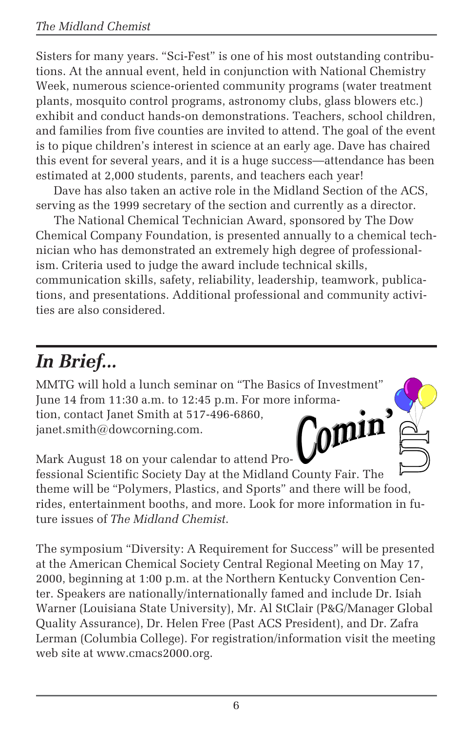Sisters for many years. "Sci-Fest" is one of his most outstanding contributions. At the annual event, held in conjunction with National Chemistry Week, numerous science-oriented community programs (water treatment plants, mosquito control programs, astronomy clubs, glass blowers etc.) exhibit and conduct hands-on demonstrations. Teachers, school children, and families from five counties are invited to attend. The goal of the event is to pique children's interest in science at an early age. Dave has chaired this event for several years, and it is a huge success—attendance has been estimated at 2,000 students, parents, and teachers each year!

Dave has also taken an active role in the Midland Section of the ACS, serving as the 1999 secretary of the section and currently as a director.

The National Chemical Technician Award, sponsored by The Dow Chemical Company Foundation, is presented annually to a chemical technician who has demonstrated an extremely high degree of professionalism. Criteria used to judge the award include technical skills, communication skills, safety, reliability, leadership, teamwork, publications, and presentations. Additional professional and community activities are also considered.

# *In Brief...*

MMTG will hold a lunch seminar on "The Basics of Investment" June 14 from 11:30 a.m. to 12:45 p.m. For more information, contact Janet Smith at 517-496-6860, omin<sub>0</sub> janet.smith@dowcorning.com.

Mark August 18 on your calendar to attend Pro-

fessional Scientific Society Day at the Midland County Fair. The theme will be "Polymers, Plastics, and Sports" and there will be food, rides, entertainment booths, and more. Look for more information in future issues of *The Midland Chemist*.

The symposium "Diversity: A Requirement for Success" will be presented at the American Chemical Society Central Regional Meeting on May 17, 2000, beginning at 1:00 p.m. at the Northern Kentucky Convention Center. Speakers are nationally/internationally famed and include Dr. Isiah Warner (Louisiana State University), Mr. Al StClair (P&G/Manager Global Quality Assurance), Dr. Helen Free (Past ACS President), and Dr. Zafra Lerman (Columbia College). For registration/information visit the meeting web site at www.cmacs2000.org.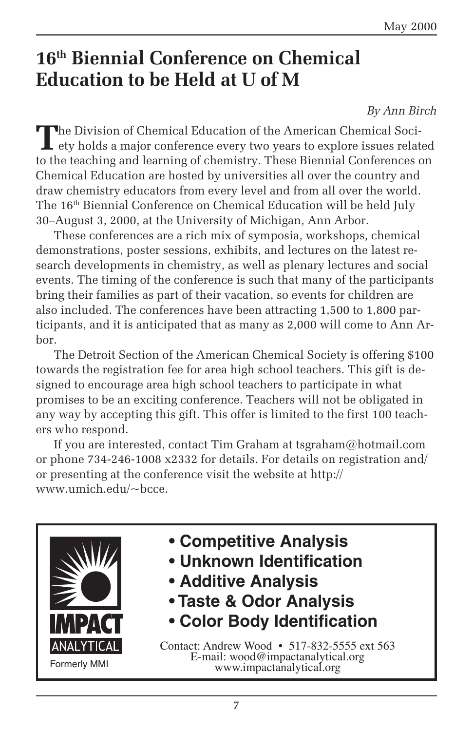## **16th Biennial Conference on Chemical Education to be Held at U of M**

#### *By Ann Birch*

The Division of Chemical Education of the American Chemical Soci-<br>ety holds a major conference every two years to explore issues related to the teaching and learning of chemistry. These Biennial Conferences on Chemical Education are hosted by universities all over the country and draw chemistry educators from every level and from all over the world. The 16th Biennial Conference on Chemical Education will be held July 30–August 3, 2000, at the University of Michigan, Ann Arbor.

These conferences are a rich mix of symposia, workshops, chemical demonstrations, poster sessions, exhibits, and lectures on the latest research developments in chemistry, as well as plenary lectures and social events. The timing of the conference is such that many of the participants bring their families as part of their vacation, so events for children are also included. The conferences have been attracting 1,500 to 1,800 participants, and it is anticipated that as many as 2,000 will come to Ann Arbor.

The Detroit Section of the American Chemical Society is offering \$100 towards the registration fee for area high school teachers. This gift is designed to encourage area high school teachers to participate in what promises to be an exciting conference. Teachers will not be obligated in any way by accepting this gift. This offer is limited to the first 100 teachers who respond.

If you are interested, contact Tim Graham at tsgraham@hotmail.com or phone 734-246-1008 x2332 for details. For details on registration and/ or presenting at the conference visit the website at http:// www.umich.edu/~bcce.



- **Competitive Analysis**
- **Unknown Identification**
- **Additive Analysis**
- **Taste & Odor Analysis**
- **Color Body Identification**

Contact: Andrew Wood • 517-832-5555 ext 563 E-mail: wood@impactanalytical.org www.impactanalytical.org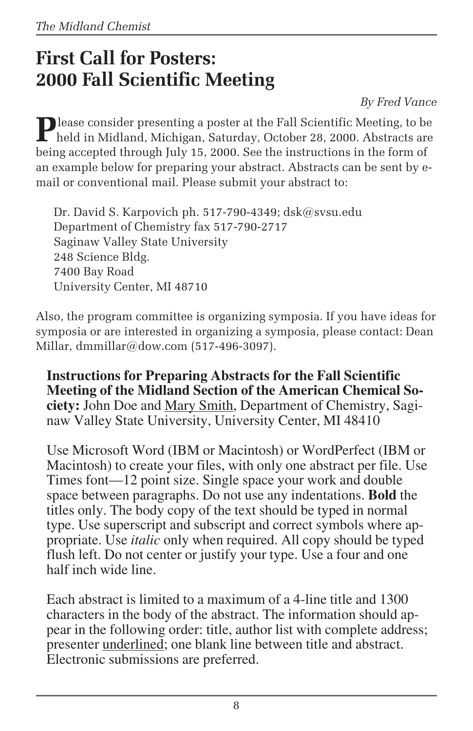## **First Call for Posters: 2000 Fall Scientific Meeting**

*By Fred Vance*

**P** lease consider presenting a poster at the Fall Scientific Meeting, to be **L** held in Midland, Michigan, Saturday, October 28, 2000. Abstracts are being accepted through July 15, 2000. See the instructions in the form of an example below for preparing your abstract. Abstracts can be sent by email or conventional mail. Please submit your abstract to:

Dr. David S. Karpovich ph. 517-790-4349; dsk@svsu.edu Department of Chemistry fax 517-790-2717 Saginaw Valley State University 248 Science Bldg. 7400 Bay Road University Center, MI 48710

Also, the program committee is organizing symposia. If you have ideas for symposia or are interested in organizing a symposia, please contact: Dean Millar, dmmillar@dow.com (517-496-3097).

**Instructions for Preparing Abstracts for the Fall Scientific Meeting of the Midland Section of the American Chemical Society:** John Doe and Mary Smith, Department of Chemistry, Saginaw Valley State University, University Center, MI 48410

Use Microsoft Word (IBM or Macintosh) or WordPerfect (IBM or Macintosh) to create your files, with only one abstract per file. Use Times font—12 point size. Single space your work and double space between paragraphs. Do not use any indentations. **Bold** the titles only. The body copy of the text should be typed in normal type. Use superscript and subscript and correct symbols where appropriate. Use *italic* only when required. All copy should be typed flush left. Do not center or justify your type. Use a four and one half inch wide line.

Each abstract is limited to a maximum of a 4-line title and 1300 characters in the body of the abstract. The information should appear in the following order: title, author list with complete address; presenter underlined; one blank line between title and abstract. Electronic submissions are preferred.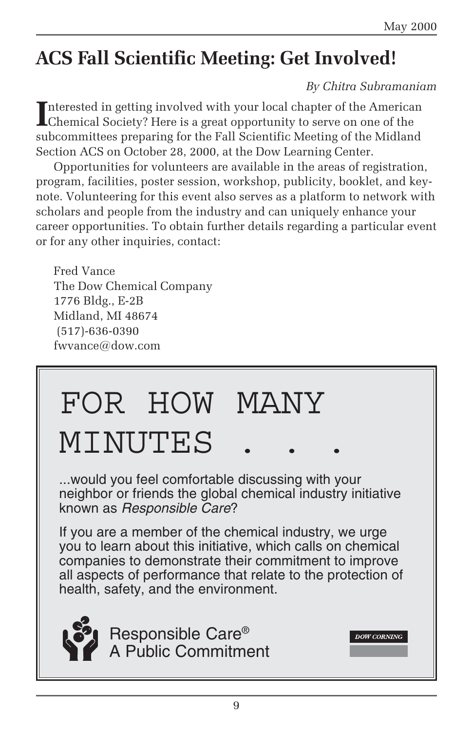## **ACS Fall Scientific Meeting: Get Involved!**

#### *By Chitra Subramaniam*

**DOW CORNING** 

Interested in getting involved with your local chapter of the America<br>Chemical Society? Here is a great opportunity to serve on one of the nterested in getting involved with your local chapter of the American subcommittees preparing for the Fall Scientific Meeting of the Midland Section ACS on October 28, 2000, at the Dow Learning Center.

Opportunities for volunteers are available in the areas of registration, program, facilities, poster session, workshop, publicity, booklet, and keynote. Volunteering for this event also serves as a platform to network with scholars and people from the industry and can uniquely enhance your career opportunities. To obtain further details regarding a particular event or for any other inquiries, contact:

Fred Vance The Dow Chemical Company 1776 Bldg., E-2B Midland, MI 48674 (517)-636-0390 fwvance@dow.com

# FOR HOW MANY MINUTES

...would you feel comfortable discussing with your neighbor or friends the global chemical industry initiative known as Responsible Care?

If you are a member of the chemical industry, we urge you to learn about this initiative, which calls on chemical companies to demonstrate their commitment to improve all aspects of performance that relate to the protection of health, safety, and the environment.



Responsible Care® A Public Commitment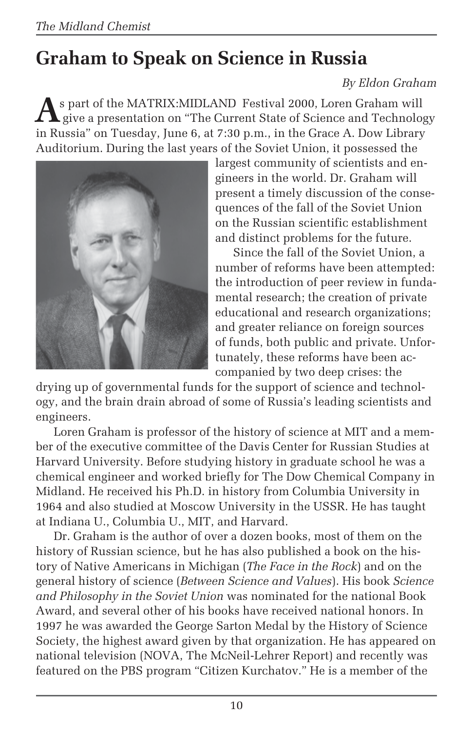# **Graham to Speak on Science in Russia**

#### *By Eldon Graham*

**A**s part of the MATRIX:MIDLAND Festival 2000, Loren Graham will<br>give a presentation on "The Current State of Science and Technology<br>. in Russia" on Tuesday, June 6, at 7:30 p.m., in the Grace A. Dow Library Auditorium. During the last years of the Soviet Union, it possessed the



largest community of scientists and engineers in the world. Dr. Graham will present a timely discussion of the consequences of the fall of the Soviet Union on the Russian scientific establishment and distinct problems for the future.

Since the fall of the Soviet Union, a number of reforms have been attempted: the introduction of peer review in fundamental research; the creation of private educational and research organizations; and greater reliance on foreign sources of funds, both public and private. Unfortunately, these reforms have been accompanied by two deep crises: the

drying up of governmental funds for the support of science and technology, and the brain drain abroad of some of Russia's leading scientists and engineers.

Loren Graham is professor of the history of science at MIT and a member of the executive committee of the Davis Center for Russian Studies at Harvard University. Before studying history in graduate school he was a chemical engineer and worked briefly for The Dow Chemical Company in Midland. He received his Ph.D. in history from Columbia University in 1964 and also studied at Moscow University in the USSR. He has taught at Indiana U., Columbia U., MIT, and Harvard.

Dr. Graham is the author of over a dozen books, most of them on the history of Russian science, but he has also published a book on the history of Native Americans in Michigan (*The Face in the Rock*) and on the general history of science (*Between Science and Values*). His book *Science and Philosophy in the Soviet Union* was nominated for the national Book Award, and several other of his books have received national honors. In 1997 he was awarded the George Sarton Medal by the History of Science Society, the highest award given by that organization. He has appeared on national television (NOVA, The McNeil-Lehrer Report) and recently was featured on the PBS program "Citizen Kurchatov." He is a member of the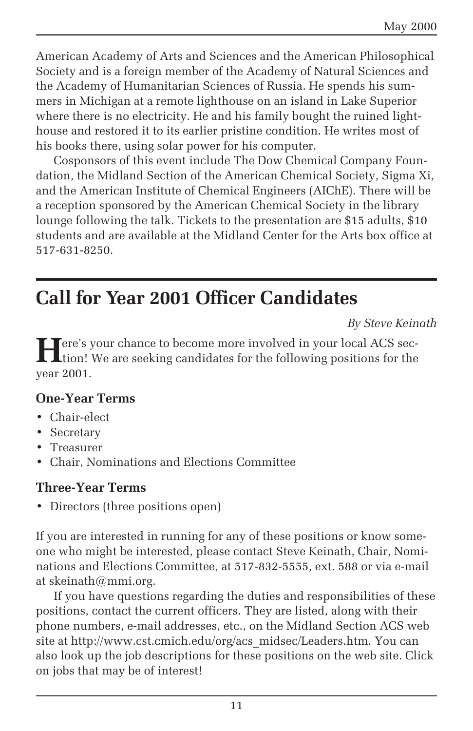American Academy of Arts and Sciences and the American Philosophical Society and is a foreign member of the Academy of Natural Sciences and the Academy of Humanitarian Sciences of Russia. He spends his summers in Michigan at a remote lighthouse on an island in Lake Superior where there is no electricity. He and his family bought the ruined lighthouse and restored it to its earlier pristine condition. He writes most of his books there, using solar power for his computer.

Cosponsors of this event include The Dow Chemical Company Foundation, the Midland Section of the American Chemical Society, Sigma Xi, and the American Institute of Chemical Engineers (AIChE). There will be a reception sponsored by the American Chemical Society in the library lounge following the talk. Tickets to the presentation are \$15 adults, \$10 students and are available at the Midland Center for the Arts box office at 517-631-8250.

## **Call for Year 2001 Officer Candidates**

*By Steve Keinath*

**H**ere's your chance to become more involved in your local ACS section! We are seeking candidates for the following positions for the year 2001.

#### **One-Year Terms**

- Chair-elect
- Secretary
- Treasurer
- Chair, Nominations and Elections Committee

#### **Three-Year Terms**

• Directors (three positions open)

If you are interested in running for any of these positions or know someone who might be interested, please contact Steve Keinath, Chair, Nominations and Elections Committee, at 517-832-5555, ext. 588 or via e-mail at skeinath@mmi.org.

If you have questions regarding the duties and responsibilities of these positions, contact the current officers. They are listed, along with their phone numbers, e-mail addresses, etc., on the Midland Section ACS web site at http://www.cst.cmich.edu/org/acs\_midsec/Leaders.htm. You can also look up the job descriptions for these positions on the web site. Click on jobs that may be of interest!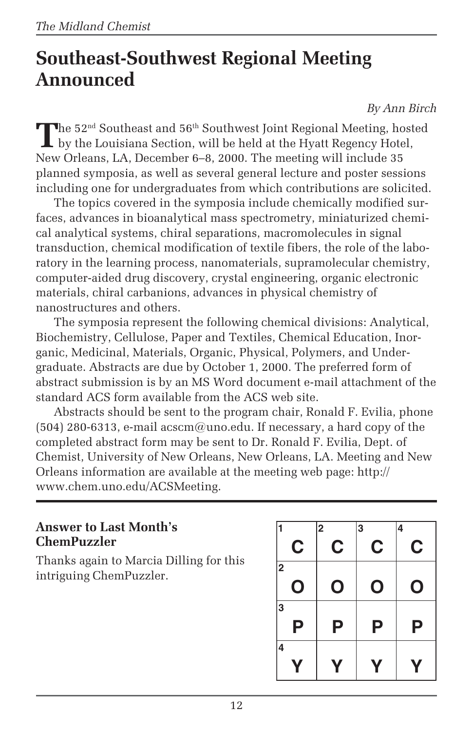## **Southeast-Southwest Regional Meeting Announced**

*By Ann Birch*

The 52<sup>nd</sup> Southeast and 56<sup>th</sup> Southwest Joint Regional Meeting, hosted<br>by the Louisiana Section, will be held at the Hyatt Regency Hotel, New Orleans, LA, December 6–8, 2000. The meeting will include 35 planned symposia, as well as several general lecture and poster sessions including one for undergraduates from which contributions are solicited.

The topics covered in the symposia include chemically modified surfaces, advances in bioanalytical mass spectrometry, miniaturized chemical analytical systems, chiral separations, macromolecules in signal transduction, chemical modification of textile fibers, the role of the laboratory in the learning process, nanomaterials, supramolecular chemistry, computer-aided drug discovery, crystal engineering, organic electronic materials, chiral carbanions, advances in physical chemistry of nanostructures and others.

The symposia represent the following chemical divisions: Analytical, Biochemistry, Cellulose, Paper and Textiles, Chemical Education, Inorganic, Medicinal, Materials, Organic, Physical, Polymers, and Undergraduate. Abstracts are due by October 1, 2000. The preferred form of abstract submission is by an MS Word document e-mail attachment of the standard ACS form available from the ACS web site.

Abstracts should be sent to the program chair, Ronald F. Evilia, phone  $(504)$  280-6313, e-mail acscm@uno.edu. If necessary, a hard copy of the completed abstract form may be sent to Dr. Ronald F. Evilia, Dept. of Chemist, University of New Orleans, New Orleans, LA. Meeting and New Orleans information are available at the meeting web page: http:// www.chem.uno.edu/ACSMeeting.

#### **Answer to Last Month's ChemPuzzler**

Thanks again to Marcia Dilling for this intriguing ChemPuzzler.

|                  | 2 | 3 | 4           |
|------------------|---|---|-------------|
| C                | C | C | C           |
| 2<br>$\mathbf 0$ | O | O | $\mathbf 0$ |
| 3<br>Ρ           | Ρ | Ρ | Ρ           |
| 4                | Y | Y | Y           |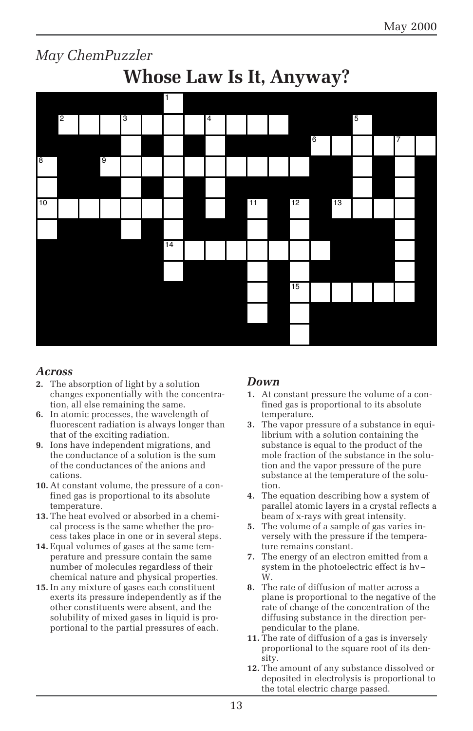

#### *Across*

- **2.** The absorption of light by a solution changes exponentially with the concentration, all else remaining the same.
- **6.** In atomic processes, the wavelength of fluorescent radiation is always longer than that of the exciting radiation.
- **9.** Ions have independent migrations, and the conductance of a solution is the sum of the conductances of the anions and cations.
- **10.** At constant volume, the pressure of a confined gas is proportional to its absolute temperature.
- **13.** The heat evolved or absorbed in a chemical process is the same whether the process takes place in one or in several steps.
- **14.** Equal volumes of gases at the same temperature and pressure contain the same number of molecules regardless of their chemical nature and physical properties.
- **15.** In any mixture of gases each constituent exerts its pressure independently as if the other constituents were absent, and the solubility of mixed gases in liquid is proportional to the partial pressures of each.

#### *Down*

15

- **1.** At constant pressure the volume of a confined gas is proportional to its absolute temperature.
- **3.** The vapor pressure of a substance in equilibrium with a solution containing the substance is equal to the product of the mole fraction of the substance in the solution and the vapor pressure of the pure substance at the temperature of the solution.
- **4.** The equation describing how a system of parallel atomic layers in a crystal reflects a beam of x-rays with great intensity.
- **5.** The volume of a sample of gas varies inversely with the pressure if the temperature remains constant.
- **7.** The energy of an electron emitted from a system in the photoelectric effect is hν – W.
- **8.** The rate of diffusion of matter across a plane is proportional to the negative of the rate of change of the concentration of the diffusing substance in the direction perpendicular to the plane.
- **11.** The rate of diffusion of a gas is inversely proportional to the square root of its density.
- **12.** The amount of any substance dissolved or deposited in electrolysis is proportional to the total electric charge passed.